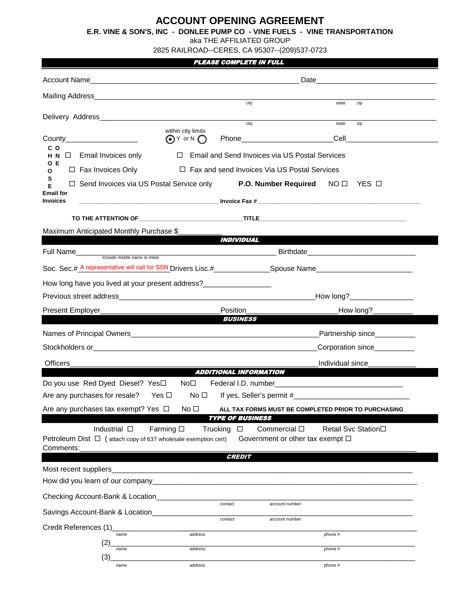# **ACCOUNT OPENING AGREEMENT**

**E.R. VINE & SON'S, INC - DONLEE PUMP CO - VINE FUELS - VINE TRANSPORTATION**

aka THE AFFILIATED GROUP

2825 RAILROAD--CERES, CA 95307--(209)537-0723

### PLEASE COMPLETE IN FULL

|                                                                                                                                                                                                                                                                        | city<br>zip<br>state                                                                                                 |  |  |
|------------------------------------------------------------------------------------------------------------------------------------------------------------------------------------------------------------------------------------------------------------------------|----------------------------------------------------------------------------------------------------------------------|--|--|
|                                                                                                                                                                                                                                                                        | $\overline{\text{city}}$<br>state<br>zip                                                                             |  |  |
| within city limits<br>$\bigodot$ Y or N $\bigodot$                                                                                                                                                                                                                     |                                                                                                                      |  |  |
| c o<br>$\Box$ Email and Send Invoices via US Postal Services<br>H N<br>$\Box$ Email Invoices only                                                                                                                                                                      |                                                                                                                      |  |  |
| O E<br>$\Box$ Fax Invoices Only<br>$\Box$ Fax and send Invoices Via US Postal Services<br>O                                                                                                                                                                            |                                                                                                                      |  |  |
| s<br>Е                                                                                                                                                                                                                                                                 | $\Box$ Send Invoices via US Postal Service only <b>P.O. Number Required</b> NO $\Box$ YES $\Box$                     |  |  |
| <b>Email for</b><br><b>Invoices</b>                                                                                                                                                                                                                                    | <b>Example 2018 and 2018 and 2018 and 2018 and 2018 and 2018 and 2018 and 2018 and 2018 and 2018 and 2018 and 20</b> |  |  |
|                                                                                                                                                                                                                                                                        |                                                                                                                      |  |  |
| Maximum Anticipated Monthly Purchase \$                                                                                                                                                                                                                                |                                                                                                                      |  |  |
|                                                                                                                                                                                                                                                                        | <i><b>INDIVIDUAL</b></i>                                                                                             |  |  |
|                                                                                                                                                                                                                                                                        |                                                                                                                      |  |  |
|                                                                                                                                                                                                                                                                        |                                                                                                                      |  |  |
|                                                                                                                                                                                                                                                                        |                                                                                                                      |  |  |
|                                                                                                                                                                                                                                                                        | How long?____________________                                                                                        |  |  |
| Present Employer_                                                                                                                                                                                                                                                      | Position<br>How long?__________                                                                                      |  |  |
| <b>BUSINESS</b>                                                                                                                                                                                                                                                        |                                                                                                                      |  |  |
|                                                                                                                                                                                                                                                                        | Partnership since__________                                                                                          |  |  |
|                                                                                                                                                                                                                                                                        | Corporation since <u>Letterance</u>                                                                                  |  |  |
| <b>Officers</b>                                                                                                                                                                                                                                                        | Individual since<br><b>ADDITIONAL INFORMATION</b>                                                                    |  |  |
| Do you use Red Dyed Diesel? Yes□ No□<br>Federal I.D. number and the contract of the contract of the contract of the contract of the contract of the contract of the contract of the contract of the contract of the contract of the contract of the contract of the co |                                                                                                                      |  |  |
| Are any purchases for resale? Yes $\Box$                                                                                                                                                                                                                               | No $\Box$                                                                                                            |  |  |
| Are any purchases tax exempt? Yes □ No □ ALL TAX FORMS MUST BE COMPLETED PRIOR TO PURCHASING                                                                                                                                                                           |                                                                                                                      |  |  |
|                                                                                                                                                                                                                                                                        | <b>TYPE OF BUSINESS</b>                                                                                              |  |  |
| Farming $\square$<br>Industrial $\square$<br>Petroleum Dist $\Box$ (attach copy of 637 wholesale exemption cert)<br>Comments:                                                                                                                                          | Trucking<br>Commercial $\square$<br>Retail Svc Station□<br>$\Box$<br>Government or other tax exempt $\square$        |  |  |
|                                                                                                                                                                                                                                                                        | <b>CREDIT</b>                                                                                                        |  |  |
| Most recent suppliers                                                                                                                                                                                                                                                  |                                                                                                                      |  |  |
|                                                                                                                                                                                                                                                                        |                                                                                                                      |  |  |
| Checking Account-Bank & Location                                                                                                                                                                                                                                       | contact<br>account number                                                                                            |  |  |
| Savings Account-Bank & Location                                                                                                                                                                                                                                        | contact<br>account number                                                                                            |  |  |
| Credit References (1)                                                                                                                                                                                                                                                  |                                                                                                                      |  |  |
| name<br>(2                                                                                                                                                                                                                                                             | address<br>phone #                                                                                                   |  |  |
| name<br>(3)                                                                                                                                                                                                                                                            | address<br>phone #                                                                                                   |  |  |
| name                                                                                                                                                                                                                                                                   | address<br>phone #                                                                                                   |  |  |